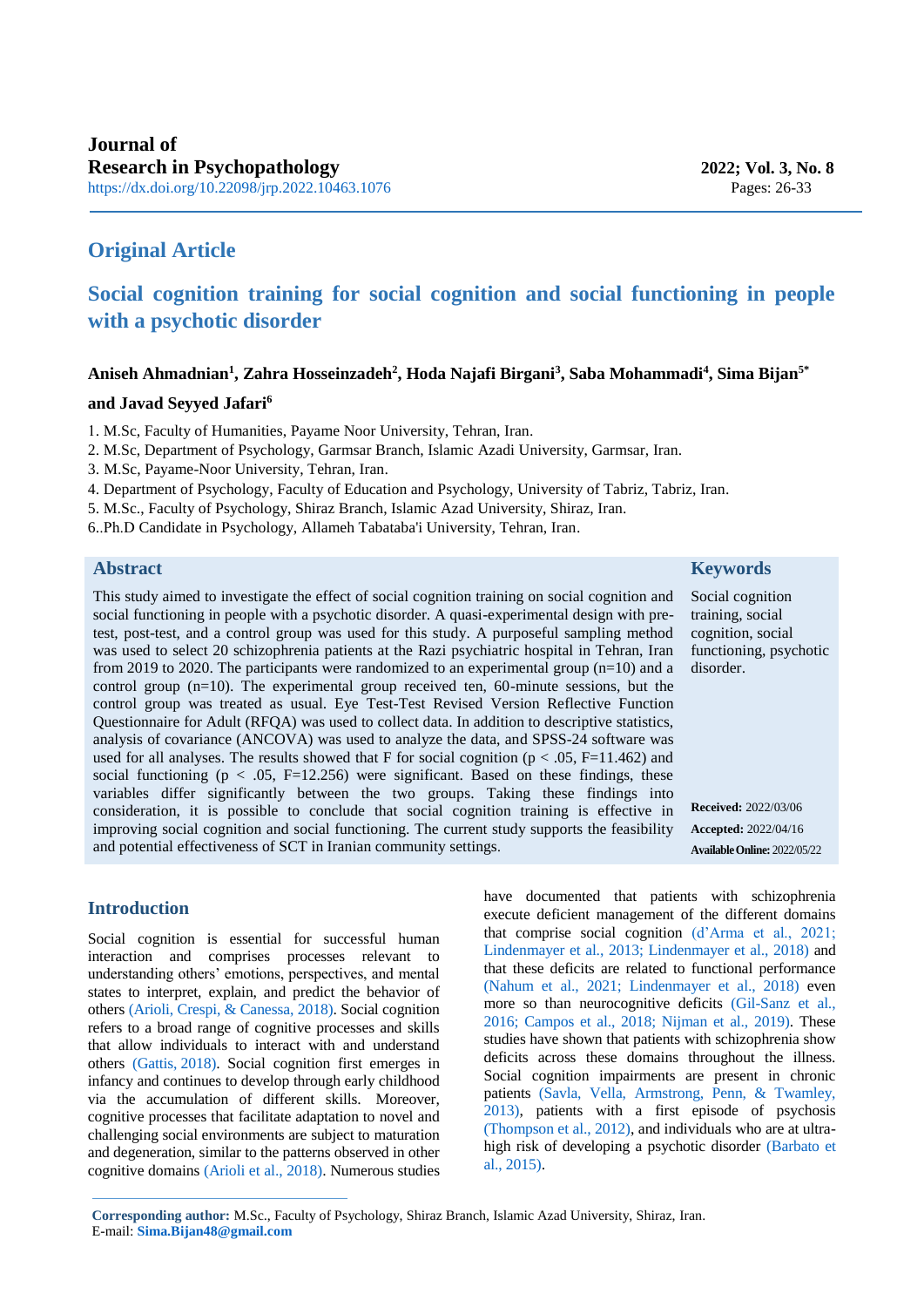# **Original Article**

# **Social cognition training for social cognition and social functioning in people with a psychotic disorder**

## **Aniseh Ahmadnian<sup>1</sup> , Zahra Hosseinzadeh<sup>2</sup> , Hoda Najafi Birgani<sup>3</sup> , Saba Mohammadi<sup>4</sup> , Sima Bijan5\***

## **and Javad Seyyed Jafari<sup>6</sup>**

1. M.Sc, Faculty of Humanities, Payame Noor University, Tehran, Iran.

- 2. M.Sc, Department of Psychology, Garmsar Branch, Islamic Azadi University, Garmsar, Iran.
- 3. M.Sc, Payame-Noor University, Tehran, Iran.
- 4. Department of Psychology, Faculty of Education and Psychology, University of Tabriz, Tabriz, Iran.
- 5. M.Sc., Faculty of Psychology, Shiraz Branch, Islamic Azad University, Shiraz, Iran.
- 6..Ph.D Candidate in Psychology, Allameh Tabataba'i University, Tehran, Iran.

# **Abstract**

This study aimed to investigate the effect of social cognition training on social cognition and social functioning in people with a psychotic disorder. A quasi-experimental design with pretest, post-test, and a control group was used for this study. A purposeful sampling method was used to select 20 schizophrenia patients at the Razi psychiatric hospital in Tehran, Iran from 2019 to 2020. The participants were randomized to an experimental group (n=10) and a control group  $(n=10)$ . The experimental group received ten, 60-minute sessions, but the control group was treated as usual. Eye Test-Test Revised Version Reflective Function Questionnaire for Adult (RFQA) was used to collect data. In addition to descriptive statistics, analysis of covariance (ANCOVA) was used to analyze the data, and SPSS-24 software was used for all analyses. The results showed that F for social cognition ( $p < .05$ , F=11.462) and social functioning ( $p < .05$ , F=12.256) were significant. Based on these findings, these variables differ significantly between the two groups. Taking these findings into consideration, it is possible to conclude that social cognition training is effective in improving social cognition and social functioning. The current study supports the feasibility and potential effectiveness of SCT in Iranian community settings.

# **Introduction**

<span id="page-0-4"></span><span id="page-0-0"></span>Social cognition is essential for successful human interaction and comprises processes relevant to understanding others' emotions, perspectives, and mental states to interpret, explain, and predict the behavior of others [\(Arioli, Crespi, & Canessa, 2018\).](#page-5-0) Social cognition refers to a broad range of cognitive processes and skills that allow individuals to interact with and understand others [\(Gattis,](#page-6-0) 2018). Social cognition first emerges in infancy and continues to develop through early childhood via the accumulation of different skills. Moreover, cognitive processes that facilitate adaptation to novel and challenging social environments are subject to maturation and degeneration, similar to the patterns observed in other cognitive domains [\(Arioli et al., 2018\).](#page-5-0) Numerous studies <span id="page-0-11"></span><span id="page-0-10"></span><span id="page-0-9"></span><span id="page-0-8"></span><span id="page-0-7"></span><span id="page-0-2"></span>have documented that patients with schizophrenia execute deficient management of the different domains that comprise social cognition [\(d'Arma et al., 2021;](#page-5-1) [Lindenmayer et al., 2013;](#page-6-1) [Lindenmayer et al., 2018\)](#page-6-2) and that these deficits are related to functional performance [\(Nahum et al., 2021;](#page-6-3) [Lindenmayer et al., 2018\)](#page-6-2) even more so than neurocognitive deficits [\(Gil-Sanz et al.,](#page-6-4)  [2016;](#page-6-4) [Campos et al., 2018;](#page-5-2) [Nijman et al., 2019\).](#page-6-5) These studies have shown that patients with schizophrenia show deficits across these domains throughout the illness. Social cognition impairments are present in chronic patients [\(Savla, Vella, Armstrong, Penn, & Twamley,](#page-7-0)  [2013\),](#page-7-0) patients with a first episode of psychosis [\(Thompson et al., 2012\),](#page-7-1) and individuals who are at ultrahigh risk of developing a psychotic disorder [\(Barbato et](#page-5-3)  [al., 2015\).](#page-5-3)

**Corresponding author:** M.Sc., Faculty of Psychology, Shiraz Branch, Islamic Azad University, Shiraz, Iran. E-mail[:](mailto:Sima.Bijan48@gmail.com) **[Sima.Bijan48@gmail.com](mailto:Sima.Bijan48@gmail.com)**

**Keywords**

Social cognition training, social cognition, social functioning, psychotic disorder.

<span id="page-0-6"></span><span id="page-0-5"></span><span id="page-0-3"></span><span id="page-0-1"></span>**Received:** 2022/03/06 **Accepted:** 2022/04/16 **AvailableOnline:** 2022/05/22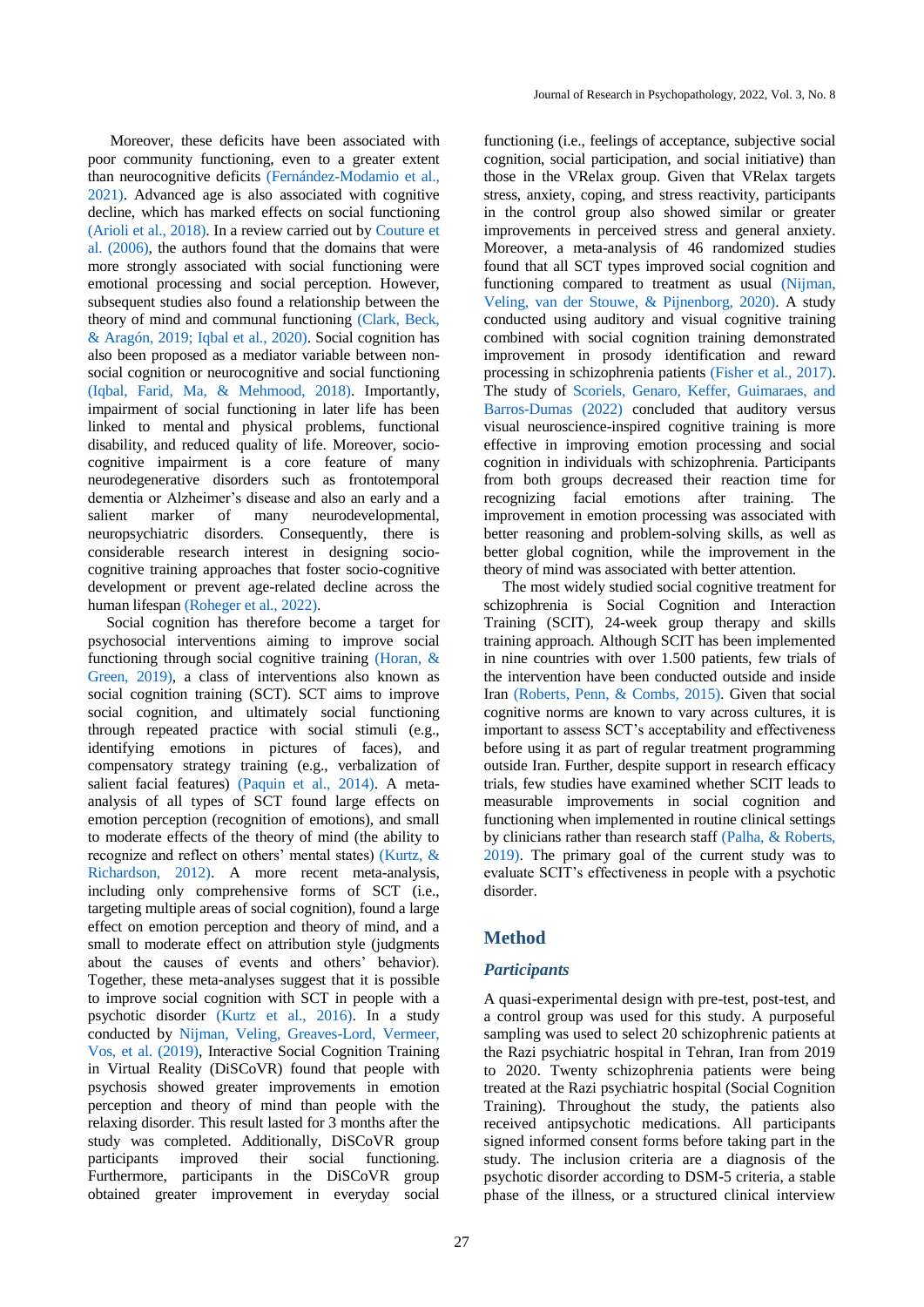<span id="page-1-5"></span><span id="page-1-2"></span>Moreover, these deficits have been associated with poor community functioning, even to a greater extent than neurocognitive deficits [\(Fernández-Modamio et al.,](#page-5-4)  [2021\).](#page-5-4) Advanced age is also associated with cognitive decline, which has marked effects on social functioning [\(Arioli et al., 2018\).](#page-5-0) In a review carried out by [Couture et](#page-5-5)  [al. \(2006\),](#page-5-5) the authors found that the domains that were more strongly associated with social functioning were emotional processing and social perception. However, subsequent studies also found a relationship between the theory of mind and communal functioning [\(Clark, Beck,](#page-5-6)  [& Aragón, 2019;](#page-5-6) [Iqbal et al., 2020\).](#page-6-6) Social cognition has also been proposed as a mediator variable between nonsocial cognition or neurocognitive and social functioning [\(Iqbal, Farid, Ma, & Mehmood, 2018\).](#page-6-7) Importantly, impairment of social functioning in later life has been linked to mental and physical problems, functional disability, and reduced quality of life. Moreover, sociocognitive impairment is a core feature of many neurodegenerative disorders such as frontotemporal dementia or Alzheimer's disease and also an early and a salient marker of many neurodevelopmental, neuropsychiatric disorders. Consequently, there is considerable research interest in designing sociocognitive training approaches that foster socio-cognitive development or prevent age-related decline across the human lifespan (Roheger [et al., 2022\).](#page-6-8)

<span id="page-1-13"></span><span id="page-1-11"></span><span id="page-1-6"></span> Social cognition has therefore become a target for psychosocial interventions aiming to improve social functioning through social cognitive training [\(Horan,](#page-6-9) & [Green, 2019\),](#page-6-9) a class of interventions also known as social cognition training (SCT). SCT aims to improve social cognition, and ultimately social functioning through repeated practice with social stimuli (e.g., identifying emotions in pictures of faces), and compensatory strategy training (e.g., verbalization of salient facial features) [\(Paquin et al., 2014\).](#page-6-10) A metaanalysis of all types of SCT found large effects on emotion perception (recognition of emotions), and small to moderate effects of the theory of mind (the ability to recognize and reflect on others' mental states) [\(Kurtz, &](#page-6-11)  [Richardson, 2012\).](#page-6-11) A more recent meta-analysis, including only comprehensive forms of SCT (i.e., targeting multiple areas of social cognition), found a large effect on emotion perception and theory of mind, and a small to moderate effect on attribution style (judgments about the causes of events and others' behavior). Together, these meta-analyses suggest that it is possible to improve social cognition with SCT in people with a psychotic disorder [\(Kurtz et al., 2016\).](#page-6-12) In a study conducted by [Nijman, Veling, Greaves-Lord, Vermeer,](#page-6-5)  [Vos, et al. \(2019\),](#page-6-5) Interactive Social Cognition Training in Virtual Reality (DiSCoVR) found that people with psychosis showed greater improvements in emotion perception and theory of mind than people with the relaxing disorder. This result lasted for 3 months after the study was completed. Additionally, DiSCoVR group participants improved their social functioning. Furthermore, participants in the DiSCoVR group obtained greater improvement in everyday social

<span id="page-1-9"></span><span id="page-1-1"></span><span id="page-1-0"></span>functioning (i.e., feelings of acceptance, subjective social cognition, social participation, and social initiative) than those in the VRelax group. Given that VRelax targets stress, anxiety, coping, and stress reactivity, participants in the control group also showed similar or greater improvements in perceived stress and general anxiety. Moreover, a meta-analysis of 46 randomized studies found that all SCT types improved social cognition and functioning compared to treatment as usual [\(Nijman,](#page-6-13)  [Veling, van der Stouwe, & Pijnenborg, 2020\).](#page-6-13) A study conducted using auditory and visual cognitive training combined with social cognition training demonstrated improvement in prosody identification and reward processing in schizophrenia patients [\(Fisher et al., 2017\).](#page-5-7) The study of [Scoriels, Genaro, Keffer, Guimaraes, and](#page-7-2)  [Barros-Dumas \(2022\)](#page-7-2) concluded that auditory versus visual neuroscience-inspired cognitive training is more effective in improving emotion processing and social cognition in individuals with schizophrenia. Participants from both groups decreased their reaction time for recognizing facial emotions after training. The improvement in emotion processing was associated with better reasoning and problem-solving skills, as well as better global cognition, while the improvement in the theory of mind was associated with better attention.

<span id="page-1-14"></span><span id="page-1-12"></span><span id="page-1-4"></span><span id="page-1-3"></span> The most widely studied social cognitive treatment for schizophrenia is Social Cognition and Interaction Training (SCIT), 24-week group therapy and skills training approach. Although SCIT has been implemented in nine countries with over 1.500 patients, few trials of the intervention have been conducted outside and inside Iran [\(Roberts, Penn, & Combs, 2015\).](#page-6-14) Given that social cognitive norms are known to vary across cultures, it is important to assess SCT's acceptability and effectiveness before using it as part of regular treatment programming outside Iran. Further, despite support in research efficacy trials, few studies have examined whether SCIT leads to measurable improvements in social cognition and functioning when implemented in routine clinical settings by clinicians rather than research staff [\(Palha, & Roberts,](#page-6-15)  [2019\).](#page-6-15) The primary goal of the current study was to evaluate SCIT's effectiveness in people with a psychotic disorder.

# <span id="page-1-10"></span><span id="page-1-7"></span>**Method**

### *Participants*

<span id="page-1-8"></span>A quasi-experimental design with pre-test, post-test, and a control group was used for this study. A purposeful sampling was used to select 20 schizophrenic patients at the Razi psychiatric hospital in Tehran, Iran from 2019 to 2020. Twenty schizophrenia patients were being treated at the Razi psychiatric hospital (Social Cognition Training). Throughout the study, the patients also received antipsychotic medications. All participants signed informed consent forms before taking part in the study. The inclusion criteria are a diagnosis of the psychotic disorder according to DSM-5 criteria, a stable phase of the illness, or a structured clinical interview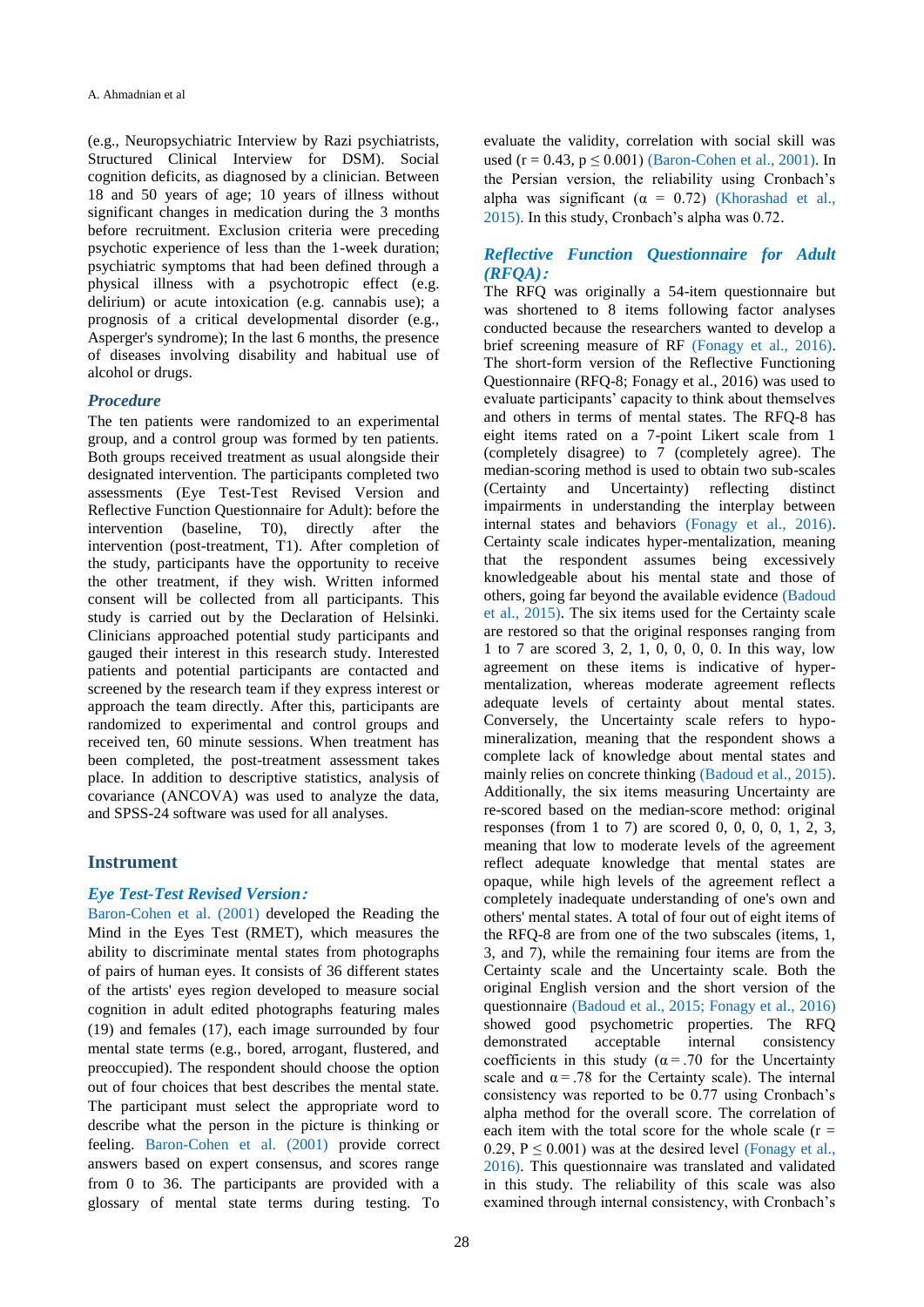(e.g., Neuropsychiatric Interview by Razi psychiatrists, Structured Clinical Interview for DSM). Social cognition deficits, as diagnosed by a clinician. Between 18 and 50 years of age; 10 years of illness without significant changes in medication during the 3 months before recruitment. Exclusion criteria were preceding psychotic experience of less than the 1-week duration; psychiatric symptoms that had been defined through a physical illness with a psychotropic effect (e.g. delirium) or acute intoxication (e.g. cannabis use); a prognosis of a critical developmental disorder (e.g., Asperger's syndrome); In the last 6 months, the presence of diseases involving disability and habitual use of alcohol or drugs.

#### *Procedure*

The ten patients were randomized to an experimental group, and a control group was formed by ten patients. Both groups received treatment as usual alongside their designated intervention. The participants completed two assessments (Eye Test-Test Revised Version and Reflective Function Questionnaire for Adult): before the intervention (baseline, T0), directly after the intervention (post-treatment, T1). After completion of the study, participants have the opportunity to receive the other treatment, if they wish. Written informed consent will be collected from all participants. This study is carried out by the Declaration of Helsinki. Clinicians approached potential study participants and gauged their interest in this research study. Interested patients and potential participants are contacted and screened by the research team if they express interest or approach the team directly. After this, participants are randomized to experimental and control groups and received ten, 60 minute sessions. When treatment has been completed, the post-treatment assessment takes place. In addition to descriptive statistics, analysis of covariance (ANCOVA) was used to analyze the data, and SPSS-24 software was used for all analyses.

#### **Instrument**

#### *Eye Test-Test Revised Version***:**

<span id="page-2-0"></span>[Baron-Cohen et al. \(2001\)](#page-5-8) developed the Reading the Mind in the Eyes Test (RMET), which measures the ability to discriminate mental states from photographs of pairs of human eyes. It consists of 36 different states of the artists' eyes region developed to measure social cognition in adult edited photographs featuring males (19) and females (17), each image surrounded by four mental state terms (e.g., bored, arrogant, flustered, and preoccupied). The respondent should choose the option out of four choices that best describes the mental state. The participant must select the appropriate word to describe what the person in the picture is thinking or feeling. [Baron-Cohen et al. \(2001\)](#page-5-8) provide correct answers based on expert consensus, and scores range from 0 to 36. The participants are provided with a glossary of mental state terms during testing. To

evaluate the validity, correlation with social skill was used ( $r = 0.43$ ,  $p \le 0.001$ ) [\(Baron-Cohen et al.,](#page-5-8) 2001). In the Persian version, the reliability using Cronbach's alpha was significant ( $\alpha = 0.72$ ) (Khorashad et al., [2015\).](#page-6-16) In this study, Cronbach's alpha was 0.72.

# <span id="page-2-3"></span>*Reflective Function Questionnaire for Adult (RFQA)***:**

<span id="page-2-2"></span><span id="page-2-1"></span>The RFQ was originally a 54-item questionnaire but was shortened to 8 items following factor analyses conducted because the researchers wanted to develop a brief screening measure of RF [\(Fonagy et al., 2016\).](#page-5-9) The short-form version of the Reflective Functioning Questionnaire (RFQ-8; Fonagy et al., 2016) was used to evaluate participants' capacity to think about themselves and others in terms of mental states. The RFQ-8 has eight items rated on a 7-point Likert scale from 1 (completely disagree) to 7 (completely agree). The median-scoring method is used to obtain two sub-scales (Certainty and Uncertainty) reflecting distinct impairments in understanding the interplay between internal states and behaviors [\(Fonagy et al., 2016\).](#page-5-9) Certainty scale indicates hyper-mentalization, meaning that the respondent assumes being excessively knowledgeable about his mental state and those of others, going far beyond the available evidence [\(Badoud](#page-5-10)  [et al., 2015\).](#page-5-10) The six items used for the Certainty scale are restored so that the original responses ranging from 1 to 7 are scored 3, 2, 1, 0, 0, 0, 0. In this way, low agreement on these items is indicative of hypermentalization, whereas moderate agreement reflects adequate levels of certainty about mental states. Conversely, the Uncertainty scale refers to hypomineralization, meaning that the respondent shows a complete lack of knowledge about mental states and mainly relies on concrete thinking [\(Badoud et al., 2015\).](#page-5-10) Additionally, the six items measuring Uncertainty are re-scored based on the median-score method: original responses (from 1 to 7) are scored 0, 0, 0, 0, 1, 2, 3, meaning that low to moderate levels of the agreement reflect adequate knowledge that mental states are opaque, while high levels of the agreement reflect a completely inadequate understanding of one's own and others' mental states. A total of four out of eight items of the RFQ-8 are from one of the two subscales (items, 1, 3, and 7), while the remaining four items are from the Certainty scale and the Uncertainty scale. Both the original English version and the short version of the questionnaire [\(Badoud et al., 2015;](#page-5-10) [Fonagy et al., 2016\)](#page-5-9) showed good psychometric properties. The RFQ demonstrated acceptable internal consistency coefficients in this study ( $\alpha$  = .70 for the Uncertainty scale and  $\alpha = .78$  for the Certainty scale). The internal consistency was reported to be 0.77 using Cronbach's alpha method for the overall score. The correlation of each item with the total score for the whole scale  $(r =$ 0.29,  $P \le 0.001$ ) was at the desired level (Fonagy et al., [2016\).](#page-5-9) This questionnaire was translated and validated in this study. The reliability of this scale was also examined through internal consistency, with Cronbach's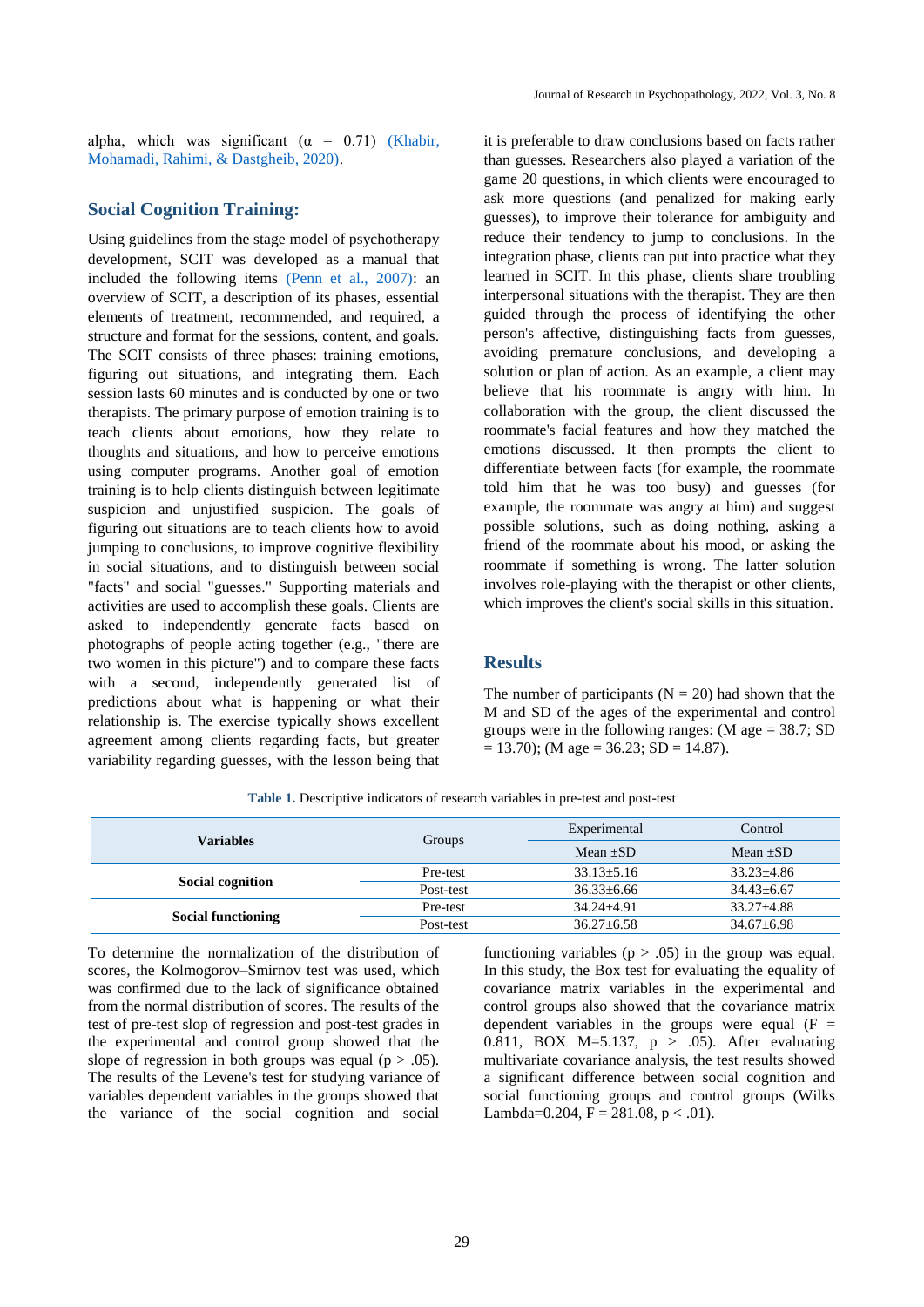alpha, which was significant  $(\alpha = 0.71)$  (Khabir, [Mohamadi, Rahimi, & Dastgheib, 2020\).](#page-6-17)

#### **Social Cognition Training:**

<span id="page-3-1"></span>Using guidelines from the stage model of psychotherapy development, SCIT was developed as a manual that included the following items [\(Penn et al., 2007\):](#page-6-18) an overview of SCIT, a description of its phases, essential elements of treatment, recommended, and required, a structure and format for the sessions, content, and goals. The SCIT consists of three phases: training emotions, figuring out situations, and integrating them. Each session lasts 60 minutes and is conducted by one or two therapists. The primary purpose of emotion training is to teach clients about emotions, how they relate to thoughts and situations, and how to perceive emotions using computer programs. Another goal of emotion training is to help clients distinguish between legitimate suspicion and unjustified suspicion. The goals of figuring out situations are to teach clients how to avoid jumping to conclusions, to improve cognitive flexibility in social situations, and to distinguish between social "facts" and social "guesses." Supporting materials and activities are used to accomplish these goals. Clients are asked to independently generate facts based on photographs of people acting together (e.g., "there are two women in this picture") and to compare these facts with a second, independently generated list of predictions about what is happening or what their relationship is. The exercise typically shows excellent agreement among clients regarding facts, but greater variability regarding guesses, with the lesson being that <span id="page-3-0"></span>it is preferable to draw conclusions based on facts rather than guesses. Researchers also played a variation of the game 20 questions, in which clients were encouraged to ask more questions (and penalized for making early guesses), to improve their tolerance for ambiguity and reduce their tendency to jump to conclusions. In the integration phase, clients can put into practice what they learned in SCIT. In this phase, clients share troubling interpersonal situations with the therapist. They are then guided through the process of identifying the other person's affective, distinguishing facts from guesses, avoiding premature conclusions, and developing a solution or plan of action. As an example, a client may believe that his roommate is angry with him. In collaboration with the group, the client discussed the roommate's facial features and how they matched the emotions discussed. It then prompts the client to differentiate between facts (for example, the roommate told him that he was too busy) and guesses (for example, the roommate was angry at him) and suggest possible solutions, such as doing nothing, asking a friend of the roommate about his mood, or asking the roommate if something is wrong. The latter solution involves role-playing with the therapist or other clients, which improves the client's social skills in this situation.

### **Results**

The number of participants ( $N = 20$ ) had shown that the M and SD of the ages of the experimental and control groups were in the following ranges: (M age = 38.7; SD  $= 13.70$ ); (M age  $= 36.23$ ; SD  $= 14.87$ ).

|           | Experimental     | Control          |
|-----------|------------------|------------------|
|           | Mean $+SD$       | Mean $\pm SD$    |
| Pre-test  | $33.13 \pm 5.16$ | $33.23 + 4.86$   |
| Post-test | $36.33 \pm 6.66$ | $34.43 \pm 6.67$ |
| Pre-test  | $34.24 + 4.91$   | $33.27 + 4.88$   |
| Post-test | $36.27 \pm 6.58$ | $34.67 \pm 6.98$ |
|           | Groups           |                  |

**Table 1.** Descriptive indicators of research variables in pre-test and post-test

To determine the normalization of the distribution of scores, the Kolmogorov–Smirnov test was used, which was confirmed due to the lack of significance obtained from the normal distribution of scores. The results of the test of pre-test slop of regression and post-test grades in the experimental and control group showed that the slope of regression in both groups was equal ( $p > .05$ ). The results of the Levene's test for studying variance of variables dependent variables in the groups showed that the variance of the social cognition and social

functioning variables  $(p > .05)$  in the group was equal. In this study, the Box test for evaluating the equality of covariance matrix variables in the experimental and control groups also showed that the covariance matrix dependent variables in the groups were equal  $(F =$ 0.811, BOX M=5.137, p > .05). After evaluating multivariate covariance analysis, the test results showed a significant difference between social cognition and social functioning groups and control groups (Wilks Lambda=0.204,  $F = 281.08$ ,  $p < .01$ ).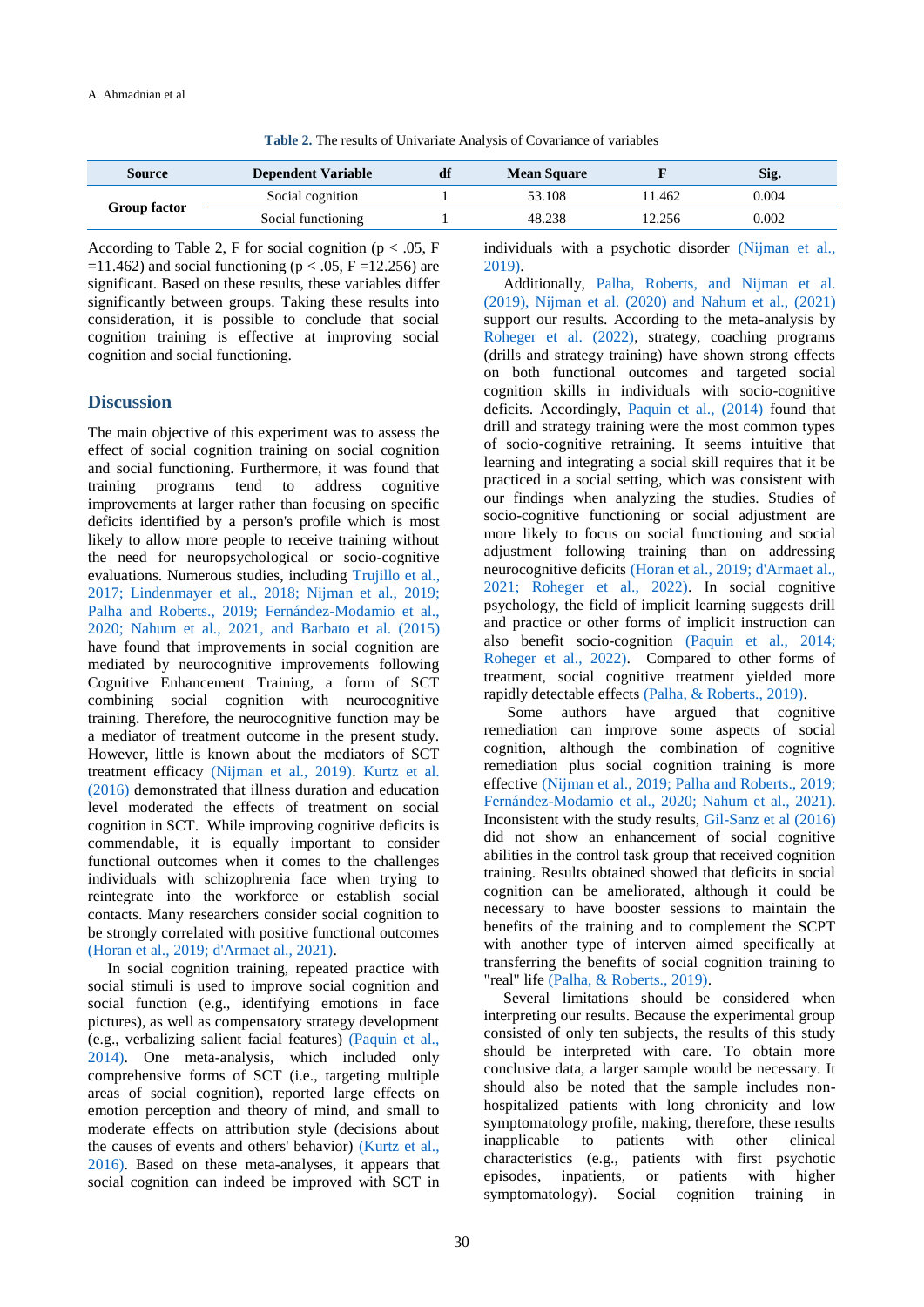**Table 2.** The results of Univariate Analysis of Covariance of variables

| <b>Source</b>       | <b>Dependent Variable</b> | df | <b>Mean Square</b> |        | Sig.  |
|---------------------|---------------------------|----|--------------------|--------|-------|
| <b>Group factor</b> | Social cognition          |    | 53.108             | 1.462  | 0.004 |
|                     | Social functioning        |    | 48.238             | 12.256 | 0.002 |

According to Table 2, F for social cognition ( $p < .05$ , F =11.462) and social functioning ( $p < .05$ , F =12.256) are significant. Based on these results, these variables differ significantly between groups. Taking these results into consideration, it is possible to conclude that social cognition training is effective at improving social cognition and social functioning.

#### **Discussion**

The main objective of this experiment was to assess the effect of social cognition training on social cognition and social functioning. Furthermore, it was found that training programs tend to address cognitive improvements at larger rather than focusing on specific deficits identified by a person's profile which is most likely to allow more people to receive training without the need for neuropsychological or socio-cognitive evaluations. Numerous studies, including [Trujillo et al.,](#page-7-3)  [2017;](#page-7-3) [Lindenmayer et al., 2018;](#page-6-2) [Nijman et al., 2019;](#page-6-5) [Palha and Roberts., 2019;](#page-6-15) [Fernández-Modamio et al.,](#page-5-4)  [2020;](#page-5-4) [Nahum et al., 2021, and](#page-6-3) [Barbato et al. \(2015\)](#page-5-3) have found that improvements in social cognition are mediated by neurocognitive improvements following Cognitive Enhancement Training, a form of SCT combining social cognition with neurocognitive training. Therefore, the neurocognitive function may be a mediator of treatment outcome in the present study. However, little is known about the mediators of SCT treatment efficacy [\(Nijman et al., 2019\).](#page-6-5) [Kurtz et al.](#page-6-12)  [\(2016\)](#page-6-12) demonstrated that illness duration and education level moderated the effects of treatment on social cognition in SCT. While improving cognitive deficits is commendable, it is equally important to consider functional outcomes when it comes to the challenges individuals with schizophrenia face when trying to reintegrate into the workforce or establish social contacts. Many researchers consider social cognition to be strongly correlated with positive functional outcomes [\(Horan et al., 2019;](#page-6-9) [d'Armaet al., 2021\).](#page-5-1)

 In social cognition training, repeated practice with social stimuli is used to improve social cognition and social function (e.g., identifying emotions in face pictures), as well as compensatory strategy development (e.g., verbalizing salient facial features) [\(Paquin et al.,](#page-6-10)  [2014\).](#page-6-10) One meta-analysis, which included only comprehensive forms of SCT (i.e., targeting multiple areas of social cognition), reported large effects on emotion perception and theory of mind, and small to moderate effects on attribution style (decisions about the causes of events and others' behavior) [\(Kurtz et al.,](#page-6-12)  [2016\).](#page-6-12) Based on these meta-analyses, it appears that social cognition can indeed be improved with SCT in individuals with a psychotic disorder [\(Nijman et al.,](#page-6-5)  [2019\).](#page-6-5)

 Additionally, [Palha, Roberts, and](#page-6-15) [Nijman et al.](#page-6-5)  [\(2019\),](#page-6-5) [Nijman et al. \(2020\) and](#page-6-13) [Nahum et al., \(2021\)](#page-6-3) support our results. According to the meta-analysis by [Roheger et al. \(2022\),](#page-6-8) strategy, coaching programs (drills and strategy training) have shown strong effects on both functional outcomes and targeted social cognition skills in individuals with socio-cognitive deficits. Accordingly, [Paquin et al., \(2014\)](#page-6-10) found that drill and strategy training were the most common types of socio-cognitive retraining. It seems intuitive that learning and integrating a social skill requires that it be practiced in a social setting, which was consistent with our findings when analyzing the studies. Studies of socio-cognitive functioning or social adjustment are more likely to focus on social functioning and social adjustment following training than on addressing neurocognitive deficits [\(Horan et al., 2019;](#page-6-9) [d'Armaet al.,](#page-5-1)  [2021;](#page-5-1) [Roheger et al., 2022\).](#page-6-8) In social cognitive psychology, the field of implicit learning suggests drill and practice or other forms of implicit instruction can also benefit socio-cognition [\(Paquin et al., 2014;](#page-6-10) [Roheger et al., 2022\).](#page-6-8) Compared to other forms of treatment, social cognitive treatment yielded more rapidly detectable effects [\(Palha, & Roberts., 2019\).](#page-6-15)

<span id="page-4-0"></span> Some authors have argued that cognitive remediation can improve some aspects of social cognition, although the combination of cognitive remediation plus social cognition training is more effective [\(Nijman et al., 2019;](#page-6-5) [Palha and Roberts., 2019;](#page-6-15) [Fernández-Modamio et al., 2020;](#page-5-4) [Nahum et al., 2021\).](#page-6-3)  Inconsistent with the study results, [Gil-Sanz et al \(2016\)](#page-6-4) did not show an enhancement of social cognitive abilities in the control task group that received cognition training. Results obtained showed that deficits in social cognition can be ameliorated, although it could be necessary to have booster sessions to maintain the benefits of the training and to complement the SCPT with another type of interven aimed specifically at transferring the benefits of social cognition training to "real" life [\(Palha, & Roberts., 2019\).](#page-6-15)

 Several limitations should be considered when interpreting our results. Because the experimental group consisted of only ten subjects, the results of this study should be interpreted with care. To obtain more conclusive data, a larger sample would be necessary. It should also be noted that the sample includes nonhospitalized patients with long chronicity and low symptomatology profile, making, therefore, these results inapplicable to patients with other clinical characteristics (e.g., patients with first psychotic episodes, inpatients, or patients with higher symptomatology). Social cognition training in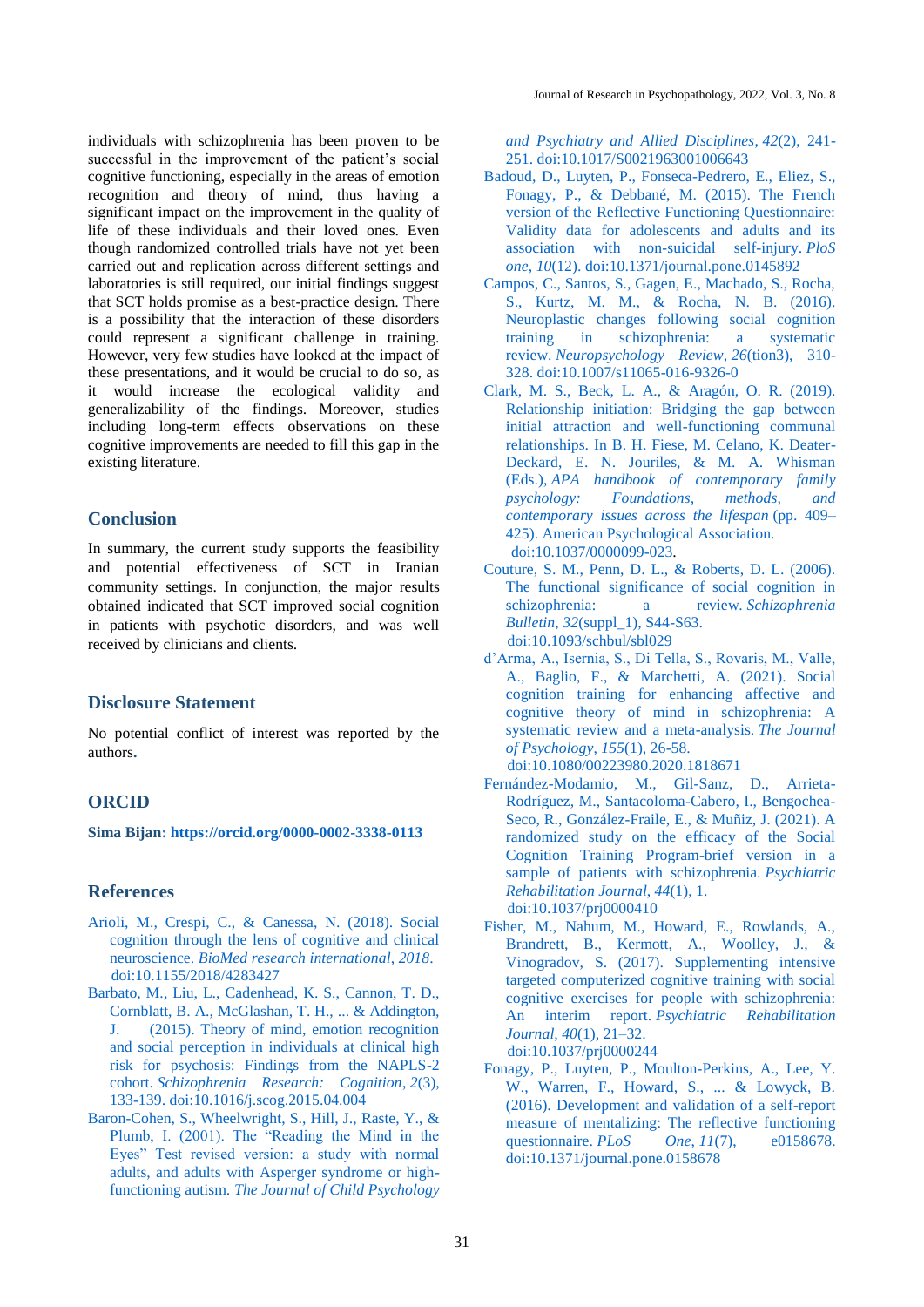individuals with schizophrenia has been proven to be successful in the improvement of the patient's social cognitive functioning, especially in the areas of emotion recognition and theory of mind, thus having a significant impact on the improvement in the quality of life of these individuals and their loved ones. Even though randomized controlled trials have not yet been carried out and replication across different settings and laboratories is still required, our initial findings suggest that SCT holds promise as a best-practice design. There is a possibility that the interaction of these disorders could represent a significant challenge in training. However, very few studies have looked at the impact of these presentations, and it would be crucial to do so, as it would increase the ecological validity and generalizability of the findings. Moreover, studies including long-term effects observations on these cognitive improvements are needed to fill this gap in the existing literature.

# **Conclusion**

In summary, the current study supports the feasibility and potential effectiveness of SCT in Iranian community settings. In conjunction, the major results obtained indicated that SCT improved social cognition in patients with psychotic disorders, and was well received by clinicians and clients.

# **Disclosure Statement**

No potential conflict of interest was reported by the authors**.**

# **ORCID**

**Sima Bijan: <https://orcid.org/0000-0002-3338-0113>**

#### **References**

- <span id="page-5-0"></span>[Arioli, M., Crespi, C., & Canessa, N. \(2018\). Social](#page-0-0)  [cognition through the lens of cognitive and clinical](#page-0-0)  neuroscience. *[BioMed research international](#page-0-0)*, *2018*. [doi:10.1155/2018/4283427](https://doi.org/10.1155/2018/4283427)
- <span id="page-5-3"></span>[Barbato, M., Liu, L., Cadenhead, K. S., Cannon, T. D.,](#page-0-1)  [Cornblatt, B. A., McGlashan, T. H., ... & Addington,](#page-0-1)  [J. \(2015\). Theory of mind, emotion recognition](#page-0-1)  [and social perception in individuals at clinical high](#page-0-1)  [risk for psychosis: Findings from the NAPLS-2](#page-0-1)  cohort. *[Schizophrenia Research: Cognition](#page-0-1)*, *2*(3), [133-139.](#page-0-1) [doi:10.1016/j.scog.2015.04.004](https://doi.org/10.1016/j.scog.2015.04.004)
- <span id="page-5-8"></span>[Baron-Cohen, S., Wheelwright, S., Hill, J., Raste, Y., &](#page-2-0)  [Plumb, I. \(2001\). The "Reading the Mind in the](#page-2-0)  [Eyes" Test revised version: a study with normal](#page-2-0)  [adults, and adults with Asperger syndrome or high](#page-2-0)functioning autism. *[The Journal of Child Psychology](#page-2-0)*

*[and Psychiatry and Allied Disciplines](#page-2-0)*, *42*(2), 241- [251.](#page-2-0) [doi:10.1017/S0021963001006643](https://doi.org/10.1017/S0021963001006643)

- <span id="page-5-10"></span>[Badoud, D., Luyten, P., Fonseca-Pedrero, E., Eliez, S.,](#page-2-1)  [Fonagy, P., & Debbané, M. \(2015\). The French](#page-2-1)  [version of the Reflective Functioning Questionnaire:](#page-2-1)  [Validity data for adolescents and adults and its](#page-2-1)  [association with non-suicidal self-injury.](#page-2-1) *PloS one*, *10*[\(12\).](#page-2-1) [doi:10.1371/journal.pone.0145892](http://dx.doi.org/10.1371/journal.pone.0145892)
- <span id="page-5-2"></span>[Campos, C., Santos, S., Gagen, E., Machado, S., Rocha,](#page-0-2)  [S., Kurtz, M. M., & Rocha, N. B. \(2016\).](#page-0-2)  [Neuroplastic changes following social cognition](#page-0-2)  [training in schizophrenia: a systematic](#page-0-2)  review. *[Neuropsychology Review](#page-0-2)*, *26*(tion3), 310- [328.](#page-0-2) [doi:10.1007/s11065-016-9326-0](https://doi.org/10.1007/s11065-016-9326-0)
- <span id="page-5-6"></span>[Clark, M. S., Beck, L. A., & Aragón, O. R. \(2019\).](#page-1-0)  [Relationship initiation: Bridging the gap between](#page-1-0)  [initial attraction and well-functioning communal](#page-1-0)  [relationships. In B. H. Fiese, M. Celano, K. Deater-](#page-1-0)[Deckard, E. N. Jouriles, & M. A. Whisman](#page-1-0)  (Eds.), *[APA handbook of contemporary family](#page-1-0)  [psychology: Foundations, methods, and](#page-1-0)  [contemporary issues across the lifespan](#page-1-0)* (pp. 409– [425\). American Psychological Association.](#page-1-0) [doi:10.1037/0000099-023.](https://psycnet.apa.org/doi/10.1037/0000099-023)
- <span id="page-5-5"></span>[Couture, S. M., Penn, D. L., & Roberts, D. L. \(2006\).](#page-1-1)  [The functional significance of social cognition in](#page-1-1)  [schizophrenia: a review.](#page-1-1) *Schizophrenia Bulletin*, *32*[\(suppl\\_1\), S44-S63.](#page-1-1) [doi:10.1093/schbul/sbl029](https://doi.org/10.1093/schbul/sbl029)
- <span id="page-5-1"></span>[d'Arma, A., Isernia, S., Di Tella, S., Rovaris, M., Valle,](#page-0-3)  [A., Baglio, F., & Marchetti, A. \(2021\). Social](#page-0-3)  [cognition training for enhancing affective and](#page-0-3)  [cognitive theory of mind in schizophrenia: A](#page-0-3)  [systematic review and a meta-analysis.](#page-0-3) *The Journal [of Psychology](#page-0-3)*, *155*(1), 26-58. [doi:10.1080/00223980.2020.1818671](https://doi.org/10.1080/00223980.2020.1818671)
- <span id="page-5-4"></span>[Fernández-Modamio, M., Gil-Sanz, D., Arrieta-](#page-1-2)[Rodríguez, M., Santacoloma-Cabero, I., Bengochea-](#page-1-2)[Seco, R., González-Fraile, E., & Muñiz, J. \(2021\). A](#page-1-2)  [randomized study on the efficacy of the Social](#page-1-2)  [Cognition Training Program-brief version in a](#page-1-2)  [sample of patients with schizophrenia.](#page-1-2) *Psychiatric [Rehabilitation Journal](#page-1-2)*, *44*(1), 1. [doi:10.1037/prj0000410](https://doi.org/10.1037/prj0000410)
- <span id="page-5-7"></span>[Fisher, M., Nahum, M., Howard, E., Rowlands, A.,](#page-1-3)  [Brandrett, B., Kermott, A., Woolley, J., &](#page-1-3)  [Vinogradov, S. \(2017\). Supplementing intensive](#page-1-3)  [targeted computerized cognitive training with social](#page-1-3)  [cognitive exercises for people with schizophrenia:](#page-1-3)  An interim report. *[Psychiatric Rehabilitation](#page-1-3)  [Journal, 40](#page-1-3)*(1), 21–32. [doi:10.1037/prj0000244](https://psycnet.apa.org/doi/10.1037/prj0000244)
- <span id="page-5-9"></span>[Fonagy, P., Luyten, P., Moulton-Perkins, A., Lee, Y.](#page-2-2)  [W., Warren, F., Howard, S., ... & Lowyck, B.](#page-2-2)  [\(2016\). Development and validation of a self-report](#page-2-2)  [measure of mentalizing: The reflective functioning](#page-2-2)  questionnaire. *PLoS One*, *11*[\(7\), e0158678.](#page-2-2) [doi:10.1371/journal.pone.0158678](https://doi:10.1371/journal.pone.0158678)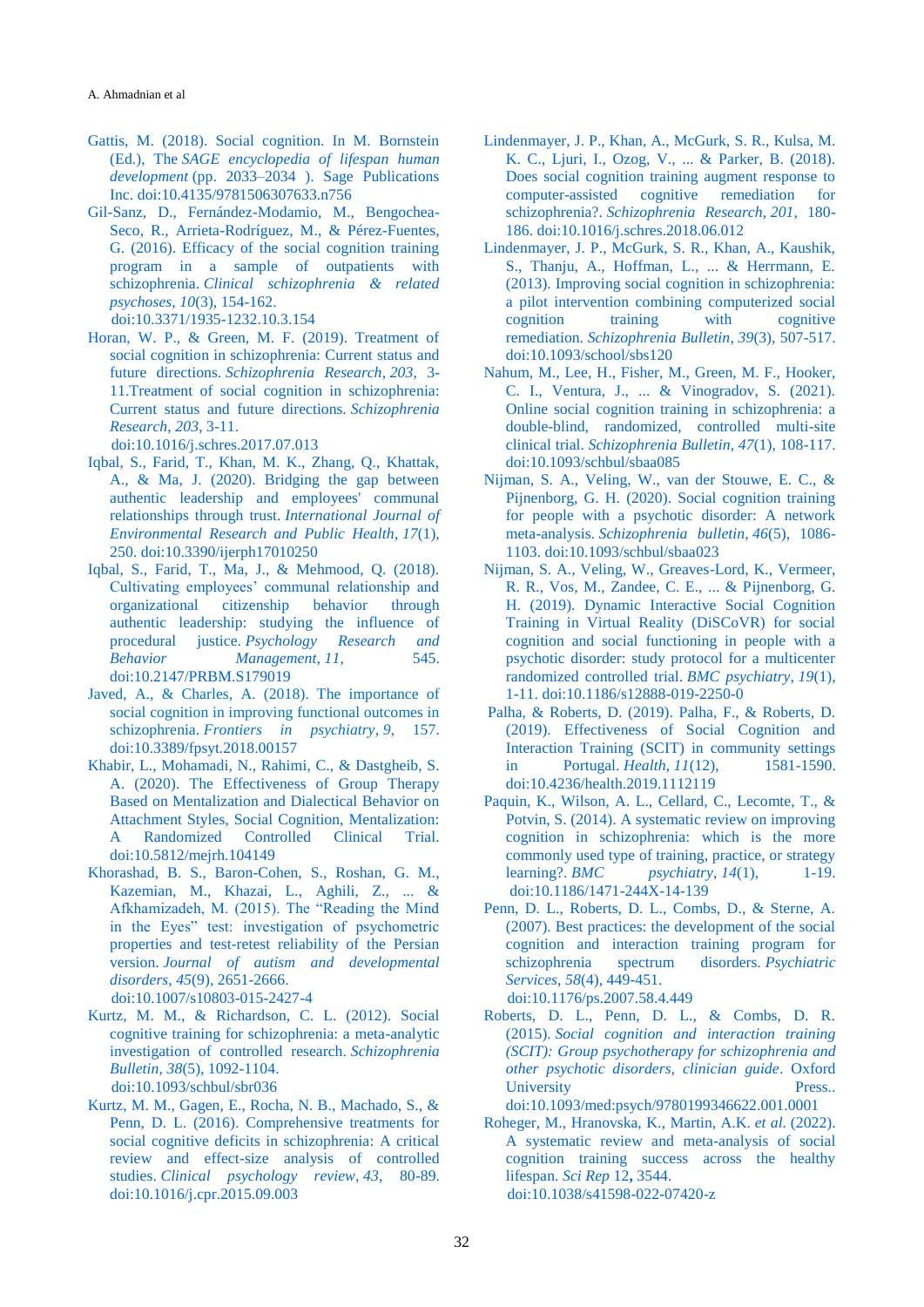- <span id="page-6-0"></span>[Gattis, M. \(2018\). Social cognition. In M. Bornstein](#page-0-4)  (Ed.), The *[SAGE encyclopedia of lifespan](#page-0-4) human development* [\(pp. 2033–2034 \). Sage Publications](#page-0-4)  [Inc.](#page-0-4) [doi:10.4135/9781506307633.n756](https://doi.org/10.4135/9781506307633.n756)
- <span id="page-6-4"></span>[Gil-Sanz, D., Fernández-Modamio, M., Bengochea-](#page-0-5)[Seco, R., Arrieta-Rodríguez, M., & Pérez-Fuentes,](#page-0-5)  [G. \(2016\). Efficacy of the social cognition training](#page-0-5)  [program in a sample of outpatients with](#page-0-5)  schizophrenia. *[Clinical schizophrenia & related](#page-0-5)  psychoses*, *10*[\(3\), 154-162.](#page-0-5) [doi:10.3371/1935-1232.10.3.154](https://doi.org/10.3371/1935-1232.10.3.154)
- <span id="page-6-9"></span>[Horan, W. P., & Green, M. F. \(2019\). Treatment of](#page-1-4)  [social cognition in schizophrenia: Current status and](#page-1-4)  future directions. *[Schizophrenia Research](#page-1-4)*, *203*, 3- [11.Treatment of social cognition in schizophrenia:](#page-1-4)  [Current status and future directions.](#page-1-4) *Schizophrenia [Research](#page-1-4)*, *203*, 3-11.

[doi:10.1016/j.schres.2017.07.013](https://doi.org/10.1016/j.schres.2017.07.013)

- <span id="page-6-6"></span>[Iqbal, S., Farid, T., Khan, M. K., Zhang, Q., Khattak,](#page-1-5)  [A., & Ma, J. \(2020\). Bridging the gap between](#page-1-5)  [authentic leadership and employees' communal](#page-1-5)  [relationships through trust.](#page-1-5) *International Journal of [Environmental Research and Public Health](#page-1-5)*, *17*(1), [250.](#page-1-5) [doi:10.3390/ijerph17010250](https://doi.org/10.3390/ijerph17010250)
- <span id="page-6-7"></span>[Iqbal, S., Farid, T., Ma, J., & Mehmood, Q. \(2018\).](#page-1-6)  [Cultivating employees' communal relationship and](#page-1-6)  [organizational citizenship behavior through](#page-1-6)  [authentic leadership: studying the influence of](#page-1-6)  procedural justice. *[Psychology Research and](#page-1-6)  [Behavior Management](#page-1-6)*, *11*, 545. [doi:10.2147/PRBM.S179019](https://doi.org/10.2147/PRBM.S179019)
- Javed, A., & Charles, A. (2018). The importance of social cognition in improving functional outcomes in schizophrenia. *Frontiers in psychiatry*, *9*, 157. [doi:10.3389/fpsyt.2018.00157](https://doi.org/10.3389/fpsyt.2018.00157)
- <span id="page-6-17"></span>[Khabir, L., Mohamadi, N., Rahimi, C., & Dastgheib, S.](#page-3-0)  [A. \(2020\). The Effectiveness of Group Therapy](#page-3-0)  [Based on Mentalization and Dialectical Behavior on](#page-3-0)  [Attachment Styles, Social Cognition, Mentalization:](#page-3-0)  [A Randomized Controlled Clinical Trial.](#page-3-0) [doi:10.5812/mejrh.104149](https://doi.org/10.5812/mejrh.104149)
- <span id="page-6-16"></span>[Khorashad, B. S., Baron-Cohen, S., Roshan, G. M.,](#page-2-3)  [Kazemian, M., Khazai, L., Aghili, Z., ... &](#page-2-3)  [Afkhamizadeh, M. \(2015\). The "Reading the Mind](#page-2-3)  [in the Eyes" test: investigation of psychometric](#page-2-3)  [properties and test-retest reliability of the Persian](#page-2-3)  version. *[Journal of autism and developmental](#page-2-3)  disorders*, *45*[\(9\), 2651-2666.](#page-2-3) [doi:10.1007/s10803-015-2427-4](https://doi.org/10.1007/s10803-015-2427-4)
- <span id="page-6-11"></span>[Kurtz, M. M., & Richardson, C. L. \(2012\). Social](#page-1-7)  [cognitive training for schizophrenia: a meta-analytic](#page-1-7)  [investigation of controlled research.](#page-1-7) *Schizophrenia Bulletin*, *38*[\(5\), 1092-1104.](#page-1-7) [doi:10.1093/schbul/sbr036](https://doi.org/10.1093/schbul/sbr036)
- <span id="page-6-12"></span>[Kurtz, M. M., Gagen, E., Rocha, N. B., Machado, S., &](#page-1-8)  [Penn, D. L. \(2016\). Comprehensive treatments for](#page-1-8)  [social cognitive deficits in schizophrenia: A critical](#page-1-8)  [review and effect-size analysis of controlled](#page-1-8)  studies. *[Clinical psychology review](#page-1-8)*, *43*, 80-89. [doi:10.1016/j.cpr.2015.09.003](https://doi.org/10.1016/j.cpr.2015.09.003)
- <span id="page-6-2"></span>[Lindenmayer, J. P., Khan, A., McGurk,](#page-0-6) S. R., Kulsa, M. [K. C., Ljuri, I., Ozog, V., ... & Parker, B. \(2018\).](#page-0-6)  [Does social cognition training augment response to](#page-0-6)  [computer-assisted cognitive remediation for](#page-0-6)  schizophrenia?. *[Schizophrenia Research](#page-0-6)*, *201*, 180- [186.](#page-0-6) [doi:10.1016/j.schres.2018.06.012](https://doi.org/10.1016/j.schres.2018.06.012)
- <span id="page-6-1"></span>[Lindenmayer, J. P., McGurk, S. R., Khan, A., Kaushik,](#page-0-7)  [S., Thanju, A., Hoffman, L., ... & Herrmann, E.](#page-0-7)  [\(2013\). Improving social cognition in schizophrenia:](#page-0-7)  [a pilot intervention combining computerized social](#page-0-7)  [cognition training with cognitive](#page-0-7)  remediation. *[Schizophrenia Bulletin](#page-0-7)*, *39*(3), 507-517. [doi:10.1093/school/sbs120](https://doi.org/10.1093/school/sbs120)
- <span id="page-6-3"></span>[Nahum, M., Lee, H., Fisher, M., Green, M. F., Hooker,](#page-0-8)  [C. I., Ventura, J., ... & Vinogradov, S. \(2021\).](#page-0-8)  [Online social cognition training in schizophrenia: a](#page-0-8)  [double-blind, randomized, controlled multi-site](#page-0-8)  clinical trial. *[Schizophrenia Bulletin](#page-0-8)*, *47*(1), 108-117. [doi:10.1093/schbul/sbaa085](https://doi.org/10.1093/schbul/sbaa085)
- <span id="page-6-13"></span>[Nijman, S. A., Veling, W., van der Stouwe, E. C., &](#page-1-9)  [Pijnenborg, G. H. \(2020\). Social cognition training](#page-1-9)  [for people with a psychotic disorder: A network](#page-1-9)  meta-analysis. *[Schizophrenia bulletin](#page-1-9)*, *46*(5), 1086- [1103.](#page-1-9) [doi:10.1093/schbul/sbaa023](https://doi.org/10.1093/schbul/sbaa023)
- <span id="page-6-5"></span>[Nijman, S. A., Veling, W., Greaves-Lord, K., Vermeer,](#page-0-9)  [R. R., Vos, M., Zandee, C. E., ... & Pijnenborg, G.](#page-0-9)  [H. \(2019\). Dynamic Interactive Social Cognition](#page-0-9)  [Training in Virtual Reality \(DiSCoVR\) for social](#page-0-9)  [cognition and social functioning in people with a](#page-0-9)  [psychotic disorder: study protocol for a multicenter](#page-0-9)  [randomized controlled trial.](#page-0-9) *BMC psychiatry*, *19*(1), [1-11.](#page-0-9) [doi:10.1186/s12888-019-2250-0](https://doi.org/10.1186/s12888-019-2250-0)
- <span id="page-6-15"></span>[Palha, & Roberts, D. \(2019\). Palha, F., & Roberts, D.](#page-1-10)  [\(2019\). Effectiveness of Social Cognition and](#page-1-10)  [Interaction Training \(SCIT\) in community settings](#page-1-10)  in Portugal. *Health*, *11*[\(12\), 1581-1590.](#page-1-10) [doi:10.4236/health.2019.1112119](https://doi.org/10.4236/health.2019.1112119)
- <span id="page-6-10"></span>[Paquin, K., Wilson, A. L., Cellard, C., Lecomte, T., &](#page-1-11)  [Potvin, S. \(2014\). A systematic review on improving](#page-1-11)  [cognition in schizophrenia: which is the more](#page-1-11)  [commonly used type of training, practice, or strategy](#page-1-11)  learning?. *[BMC psychiatry](#page-1-11)*, *14*(1), 1-19. [doi:10.1186/1471-244X-14-139](https://doi.org/10.1186/1471-244X-14-139)
- <span id="page-6-18"></span>[Penn, D. L., Roberts, D. L., Combs, D., & Sterne, A.](#page-3-1)  [\(2007\). Best practices: the development of the social](#page-3-1)  [cognition and interaction training program for](#page-3-1)  [schizophrenia spectrum disorders.](#page-3-1) *Psychiatric Services*, *58*[\(4\), 449-451.](#page-3-1) [doi:10.1176/ps.2007.58.4.449](https://doi.org/10.1176/ps.2007.58.4.449)
- <span id="page-6-14"></span>[Roberts, D. L., Penn, D. L., & Combs, D. R.](#page-1-12)  (2015). *[Social cognition and interaction training](#page-1-12)  [\(SCIT\): Group psychotherapy for schizophrenia and](#page-1-12)  [other psychotic disorders, clinician guide](#page-1-12)*. Oxford [University Press..](#page-1-12)

[doi:10.1093/med:psych/9780199346622.001.0001](https://doi.org/10.1093/med:psych/9780199346622.001.0001)

<span id="page-6-8"></span>[Roheger, M., Hranovska, K., Martin, A.K.](#page-1-13) *et al.* (2022). [A systematic review and meta-analysis of social](#page-1-13)  [cognition training success across the healthy](#page-1-13)  [lifespan.](#page-1-13) *Sci Rep* 12**,** 3544. [doi:10.1038/s41598-022-07420-z](https://doi.org/10.1038/s41598-022-07420-z)